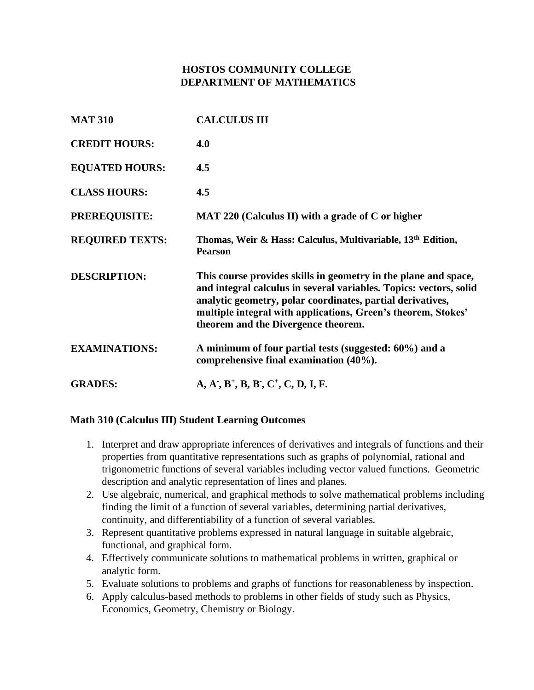## **HOSTOS COMMUNITY COLLEGE DEPARTMENT OF MATHEMATICS**

| <b>MAT 310</b>         | <b>CALCULUS III</b>                                                                                                                                                                                                                                                                                         |
|------------------------|-------------------------------------------------------------------------------------------------------------------------------------------------------------------------------------------------------------------------------------------------------------------------------------------------------------|
| <b>CREDIT HOURS:</b>   | 4.0                                                                                                                                                                                                                                                                                                         |
| <b>EQUATED HOURS:</b>  | 4.5                                                                                                                                                                                                                                                                                                         |
| <b>CLASS HOURS:</b>    | 4.5                                                                                                                                                                                                                                                                                                         |
| <b>PREREQUISITE:</b>   | MAT 220 (Calculus II) with a grade of C or higher                                                                                                                                                                                                                                                           |
| <b>REQUIRED TEXTS:</b> | Thomas, Weir & Hass: Calculus, Multivariable, 13 <sup>th</sup> Edition,<br><b>Pearson</b>                                                                                                                                                                                                                   |
| <b>DESCRIPTION:</b>    | This course provides skills in geometry in the plane and space,<br>and integral calculus in several variables. Topics: vectors, solid<br>analytic geometry, polar coordinates, partial derivatives,<br>multiple integral with applications, Green's theorem, Stokes'<br>theorem and the Divergence theorem. |
| <b>EXAMINATIONS:</b>   | A minimum of four partial tests (suggested: 60%) and a<br>comprehensive final examination (40%).                                                                                                                                                                                                            |
| <b>GRADES:</b>         | $A, A', B^+, B, B', C^+, C, D, I, F.$                                                                                                                                                                                                                                                                       |

### **Math 310 (Calculus III) Student Learning Outcomes**

- 1. Interpret and draw appropriate inferences of derivatives and integrals of functions and their properties from quantitative representations such as graphs of polynomial, rational and trigonometric functions of several variables including vector valued functions. Geometric description and analytic representation of lines and planes.
- 2. Use algebraic, numerical, and graphical methods to solve mathematical problems including finding the limit of a function of several variables, determining partial derivatives, continuity, and differentiability of a function of several variables.
- 3. Represent quantitative problems expressed in natural language in suitable algebraic, functional, and graphical form.
- 4. Effectively communicate solutions to mathematical problems in written, graphical or analytic form.
- 5. Evaluate solutions to problems and graphs of functions for reasonableness by inspection.
- 6. Apply calculus-based methods to problems in other fields of study such as Physics, Economics, Geometry, Chemistry or Biology.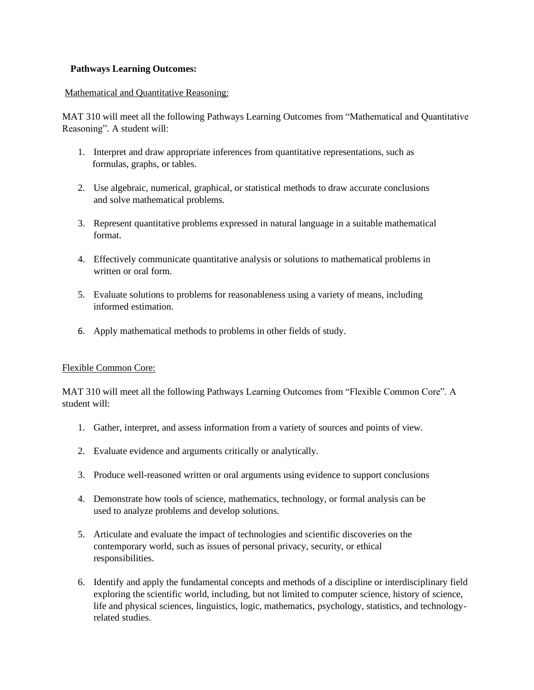#### **Pathways Learning Outcomes:**

#### Mathematical and Quantitative Reasoning:

MAT 310 will meet all the following Pathways Learning Outcomes from "Mathematical and Quantitative Reasoning". A student will:

- 1. Interpret and draw appropriate inferences from quantitative representations, such as formulas, graphs, or tables.
- 2. Use algebraic, numerical, graphical, or statistical methods to draw accurate conclusions and solve mathematical problems.
- 3. Represent quantitative problems expressed in natural language in a suitable mathematical format.
- 4. Effectively communicate quantitative analysis or solutions to mathematical problems in written or oral form.
- 5. Evaluate solutions to problems for reasonableness using a variety of means, including informed estimation.
- 6. Apply mathematical methods to problems in other fields of study.

#### Flexible Common Core:

MAT 310 will meet all the following Pathways Learning Outcomes from "Flexible Common Core". A student will:

- 1. Gather, interpret, and assess information from a variety of sources and points of view.
- 2. Evaluate evidence and arguments critically or analytically.
- 3. Produce well-reasoned written or oral arguments using evidence to support conclusions
- 4. Demonstrate how tools of science, mathematics, technology, or formal analysis can be used to analyze problems and develop solutions.
- 5. Articulate and evaluate the impact of technologies and scientific discoveries on the contemporary world, such as issues of personal privacy, security, or ethical responsibilities.
- 6. Identify and apply the fundamental concepts and methods of a discipline or interdisciplinary field exploring the scientific world, including, but not limited to computer science, history of science, life and physical sciences, linguistics, logic, mathematics, psychology, statistics, and technologyrelated studies.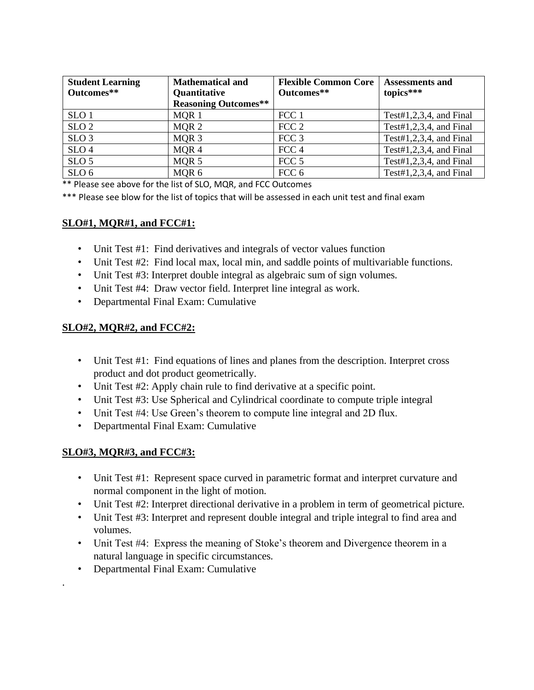| <b>Student Learning</b><br>Outcomes** | <b>Mathematical and</b><br><b>Quantitative</b> | <b>Flexible Common Core</b><br>Outcomes** | <b>Assessments and</b><br>topics*** |
|---------------------------------------|------------------------------------------------|-------------------------------------------|-------------------------------------|
|                                       | <b>Reasoning Outcomes**</b>                    |                                           |                                     |
| SLO <sub>1</sub>                      | MQR 1                                          | FCC 1                                     | Test#1,2,3,4, and Final             |
| SLO <sub>2</sub>                      | MQR <sub>2</sub>                               | FCC 2                                     | Test#1,2,3,4, and Final             |
| SLO <sub>3</sub>                      | MQR <sub>3</sub>                               | FCC <sub>3</sub>                          | Test#1,2,3,4, and Final             |
| SLO <sub>4</sub>                      | MQR4                                           | FCC <sub>4</sub>                          | Test#1,2,3,4, and Final             |
| SLO <sub>5</sub>                      | MQR 5                                          | FCC <sub>5</sub>                          | Test#1,2,3,4, and Final             |
| SLO <sub>6</sub>                      | MQR 6                                          | FCC 6                                     | Test#1,2,3,4, and Final             |

\*\* Please see above for the list of SLO, MQR, and FCC Outcomes

\*\*\* Please see blow for the list of topics that will be assessed in each unit test and final exam

### **SLO#1, MQR#1, and FCC#1:**

- Unit Test #1: Find derivatives and integrals of vector values function
- Unit Test #2: Find local max, local min, and saddle points of multivariable functions.
- Unit Test #3: Interpret double integral as algebraic sum of sign volumes.
- Unit Test #4: Draw vector field. Interpret line integral as work.
- Departmental Final Exam: Cumulative

### **SLO#2, MQR#2, and FCC#2:**

- Unit Test #1: Find equations of lines and planes from the description. Interpret cross product and dot product geometrically.
- Unit Test #2: Apply chain rule to find derivative at a specific point.
- Unit Test #3: Use Spherical and Cylindrical coordinate to compute triple integral
- Unit Test #4: Use Green's theorem to compute line integral and 2D flux.
- Departmental Final Exam: Cumulative

### **SLO#3, MQR#3, and FCC#3:**

.

- Unit Test #1: Represent space curved in parametric format and interpret curvature and normal component in the light of motion.
- Unit Test #2: Interpret directional derivative in a problem in term of geometrical picture.
- Unit Test #3: Interpret and represent double integral and triple integral to find area and volumes.
- Unit Test #4: Express the meaning of Stoke's theorem and Divergence theorem in a natural language in specific circumstances.
- Departmental Final Exam: Cumulative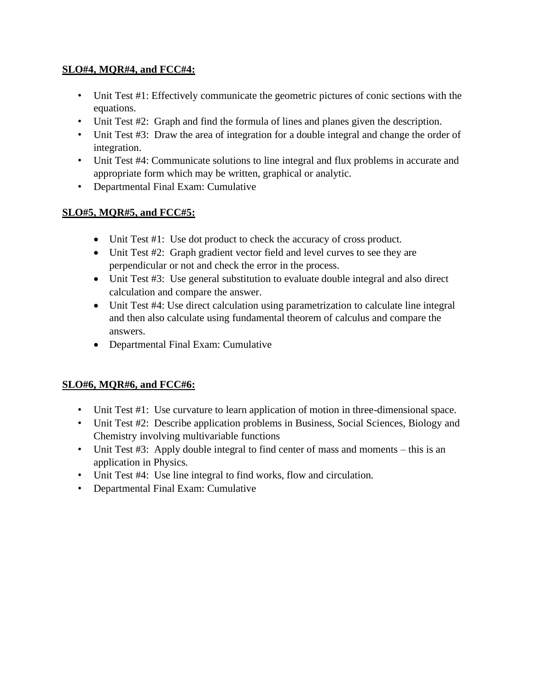### **SLO#4, MQR#4, and FCC#4:**

- Unit Test #1: Effectively communicate the geometric pictures of conic sections with the equations.
- Unit Test #2: Graph and find the formula of lines and planes given the description.
- Unit Test #3: Draw the area of integration for a double integral and change the order of integration.
- Unit Test #4: Communicate solutions to line integral and flux problems in accurate and appropriate form which may be written, graphical or analytic.
- Departmental Final Exam: Cumulative

## **SLO#5, MQR#5, and FCC#5:**

- Unit Test #1: Use dot product to check the accuracy of cross product.
- Unit Test #2: Graph gradient vector field and level curves to see they are perpendicular or not and check the error in the process.
- Unit Test #3: Use general substitution to evaluate double integral and also direct calculation and compare the answer.
- Unit Test #4: Use direct calculation using parametrization to calculate line integral and then also calculate using fundamental theorem of calculus and compare the answers.
- Departmental Final Exam: Cumulative

## **SLO#6, MQR#6, and FCC#6:**

- Unit Test #1: Use curvature to learn application of motion in three-dimensional space.
- Unit Test #2: Describe application problems in Business, Social Sciences, Biology and Chemistry involving multivariable functions
- Unit Test #3: Apply double integral to find center of mass and moments this is an application in Physics.
- Unit Test #4: Use line integral to find works, flow and circulation.
- Departmental Final Exam: Cumulative